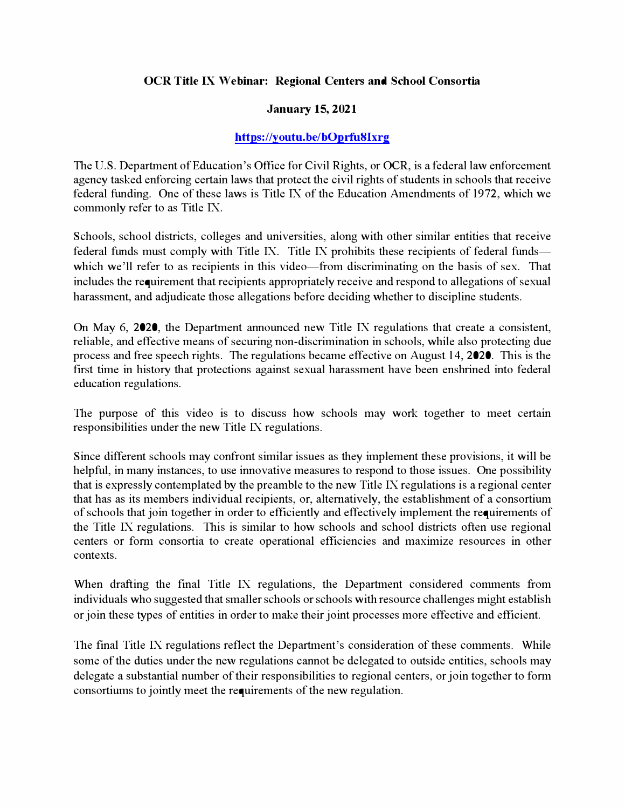## **OCR Title IX Webinar: Regional Centers and School Consortia**

## **January 15, 2021**

## **[https:/ /you tu. be/bOprfu8Ixrg](https://youtu.be/bOprfu8Ixrg)**

The U.S. Department of Education's Office for Civil Rights, or OCR, is a federal law enforcement agency tasked enforcing certain laws that protect the civil rights of students in schools that receive federal funding. One of these laws is Title IX of the Education Amendments of 1972, which we commonly refer to as Title IX.

Schools, school districts, colleges and universities, along with other similar entities that receive federal funds must comply with Title IX. Title IX prohibits these recipients of federal fundswhich we'll refer to as recipients in this video—from discriminating on the basis of sex. That includes the requirement that recipients appropriately receive and respond to allegations of sexual harassment, and adjudicate those allegations before deciding whether to discipline students.

On May 6, 2020, the Department announced new Title IX regulations that create a consistent, reliable, and effective means of securing non-discrimination in schools, while also protecting due process and free speech rights. The regulations became effective on August 14, 2020. This is the first time in history that protections against sexual harassment have been enshrined into federal education regulations.

The purpose of this video is to discuss how schools may work together to meet certain responsibilities under the new Title IX regulations.

Since different schools may confront similar issues as they implement these provisions, it will be helpful, in many instances, to use innovative measures to respond to those issues. One possibility that is expressly contemplated by the preamble to the new Title IX regulations is a regional center that has as its members individual recipients, or, alternatively, the establishment of a consortium of schools that join together in order to efficiently and effectively implement the requirements of the Title IX regulations. This is similar to how schools and school districts often use regional centers or form consortia to create operational efficiencies and maximize resources in other contexts.

When drafting the final Title IX regulations, the Department considered comments from individuals who suggested that smaller schools or schools with resource challenges might establish or join these types of entities in order to make their joint processes more effective and efficient.

The final Title IX regulations reflect the Department's consideration of these comments. While some of the duties under the new regulations cannot be delegated to outside entities, schools may delegate a substantial number of their responsibilities to regional centers, or join together to form consortiums to jointly meet the requirements of the new regulation.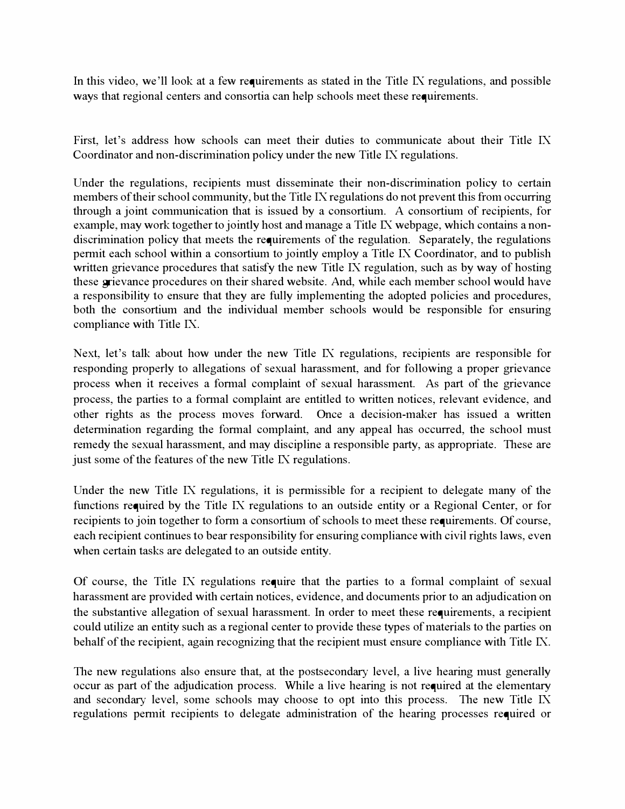In this video, we'll look at a few requirements as stated in the Title IX regulations, and possible ways that regional centers and consortia can help schools meet these requirements.

First, let's address how schools can meet their duties to communicate about their Title IX Coordinator and non-discrimination policy under the new Title IX regulations.

Under the regulations, recipients must disseminate their non-discrimination policy to certain members of their school community, but the Title IX regulations do not prevent this from occurring through a joint communication that is issued by a consortium. A consortium of recipients, for example, may work together to jointly host and manage a Title IX webpage, which contains a nondiscrimination policy that meets the requirements of the regulation. Separately, the regulations permit each school within a consortium to jointly employ a Title IX Coordinator, and to publish written grievance procedures that satisfy the new Title IX regulation, such as by way of hosting these grievance procedures on their shared website. And, while each member school would have a responsibility to ensure that they are fully implementing the adopted policies and procedures, both the consortium and the individual member schools would be responsible for ensuring compliance with Title IX.

Next, let's talk about how under the new Title IX regulations, recipients are responsible for responding properly to allegations of sexual harassment, and for following a proper grievance process when it receives a formal complaint of sexual harassment. As part of the grievance process, the parties to a formal complaint are entitled to written notices, relevant evidence, and other rights as the process moves forward. Once a decision-maker has issued a written determination regarding the formal complaint, and any appeal has occurred, the school must remedy the sexual harassment, and may discipline a responsible party, as appropriate. These are just some of the features of the new Title IX regulations.

Under the new Title IX regulations, it is permissible for a recipient to delegate many of the functions required by the Title IX regulations to an outside entity or a Regional Center, or for recipients to join together to form a consortium of schools to meet these requirements. Of course, each recipient continues to bear responsibility for ensuring compliance with civil rights laws, even when certain tasks are delegated to an outside entity.

Of course, the Title IX regulations require that the parties to a formal complaint of sexual harassment are provided with certain notices, evidence, and documents prior to an adjudication on the substantive allegation of sexual harassment. In order to meet these requirements, a recipient could utilize an entity such as a regional center to provide these types of materials to the parties on behalf of the recipient, again recognizing that the recipient must ensure compliance with Title IX.

The new regulations also ensure that, at the postsecondary level, a live hearing must generally occur as part of the adjudication process. While a live hearing is not required at the elementary and secondary level, some schools may choose to opt into this process. The new Title IX regulations permit recipients to delegate administration of the hearing processes required or